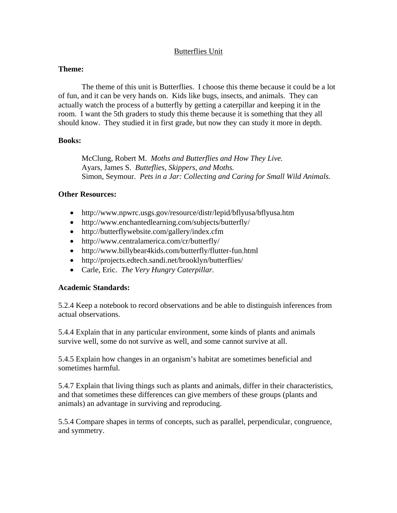## Butterflies Unit

### **Theme:**

The theme of this unit is Butterflies. I choose this theme because it could be a lot of fun, and it can be very hands on. Kids like bugs, insects, and animals. They can actually watch the process of a butterfly by getting a caterpillar and keeping it in the room. I want the 5th graders to study this theme because it is something that they all should know. They studied it in first grade, but now they can study it more in depth.

## **Books:**

McClung, Robert M. *Moths and Butterflies and How They Live.*  Ayars, James S. *Butteflies, Skippers, and Moths.* Simon, Seymour. *Pets in a Jar: Collecting and Caring for Small Wild Animals.*

## **Other Resources:**

- http://www.npwrc.usgs.gov/resource/distr/lepid/bflyusa/bflyusa.htm
- http://www.enchantedlearning.com/subjects/butterfly/
- http://butterflywebsite.com/gallery/index.cfm
- http://www.centralamerica.com/cr/butterfly/
- http://www.billybear4kids.com/butterfly/flutter-fun.html
- http://projects.edtech.sandi.net/brooklyn/butterflies/
- Carle, Eric. *The Very Hungry Caterpillar.*

## **Academic Standards:**

5.2.4 Keep a notebook to record observations and be able to distinguish inferences from actual observations.

5.4.4 Explain that in any particular environment, some kinds of plants and animals survive well, some do not survive as well, and some cannot survive at all.

5.4.5 Explain how changes in an organism's habitat are sometimes beneficial and sometimes harmful.

5.4.7 Explain that living things such as plants and animals, differ in their characteristics, and that sometimes these differences can give members of these groups (plants and animals) an advantage in surviving and reproducing.

5.5.4 Compare shapes in terms of concepts, such as parallel, perpendicular, congruence, and symmetry.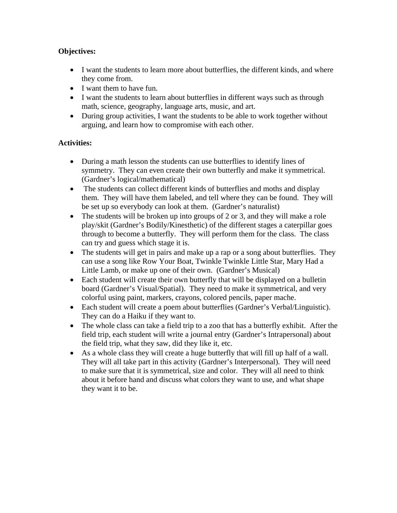# **Objectives:**

- I want the students to learn more about butterflies, the different kinds, and where they come from.
- I want them to have fun.
- I want the students to learn about butterflies in different ways such as through math, science, geography, language arts, music, and art.
- During group activities, I want the students to be able to work together without arguing, and learn how to compromise with each other.

# **Activities:**

- During a math lesson the students can use butterflies to identify lines of symmetry. They can even create their own butterfly and make it symmetrical. (Gardner's logical/mathematical)
- The students can collect different kinds of butterflies and moths and display them. They will have them labeled, and tell where they can be found. They will be set up so everybody can look at them. (Gardner's naturalist)
- The students will be broken up into groups of 2 or 3, and they will make a role play/skit (Gardner's Bodily/Kinesthetic) of the different stages a caterpillar goes through to become a butterfly. They will perform them for the class. The class can try and guess which stage it is.
- The students will get in pairs and make up a rap or a song about butterflies. They can use a song like Row Your Boat, Twinkle Twinkle Little Star, Mary Had a Little Lamb, or make up one of their own. (Gardner's Musical)
- Each student will create their own butterfly that will be displayed on a bulletin board (Gardner's Visual/Spatial). They need to make it symmetrical, and very colorful using paint, markers, crayons, colored pencils, paper mache.
- Each student will create a poem about butterflies (Gardner's Verbal/Linguistic). They can do a Haiku if they want to.
- The whole class can take a field trip to a zoo that has a butterfly exhibit. After the field trip, each student will write a journal entry (Gardner's Intrapersonal) about the field trip, what they saw, did they like it, etc.
- As a whole class they will create a huge butterfly that will fill up half of a wall. They will all take part in this activity (Gardner's Interpersonal). They will need to make sure that it is symmetrical, size and color. They will all need to think about it before hand and discuss what colors they want to use, and what shape they want it to be.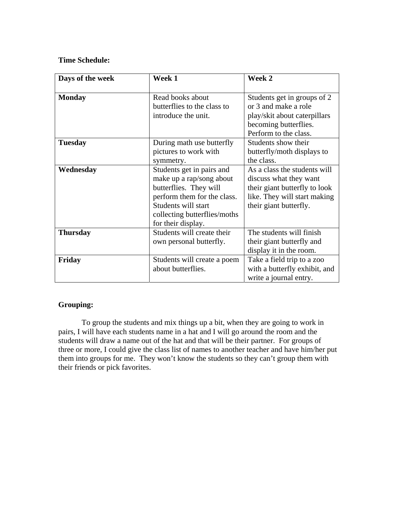## **Time Schedule:**

| Days of the week | Week 1                                                                                                                                                                                      | Week 2                                                                                                                                            |
|------------------|---------------------------------------------------------------------------------------------------------------------------------------------------------------------------------------------|---------------------------------------------------------------------------------------------------------------------------------------------------|
| <b>Monday</b>    | Read books about<br>butterflies to the class to<br>introduce the unit.                                                                                                                      | Students get in groups of 2<br>or 3 and make a role<br>play/skit about caterpillars<br>becoming butterflies.<br>Perform to the class.             |
| <b>Tuesday</b>   | During math use butterfly<br>pictures to work with<br>symmetry.                                                                                                                             | Students show their<br>butterfly/moth displays to<br>the class.                                                                                   |
| Wednesday        | Students get in pairs and<br>make up a rap/song about<br>butterflies. They will<br>perform them for the class.<br>Students will start<br>collecting butterflies/moths<br>for their display. | As a class the students will<br>discuss what they want<br>their giant butterfly to look<br>like. They will start making<br>their giant butterfly. |
| <b>Thursday</b>  | Students will create their<br>own personal butterfly.                                                                                                                                       | The students will finish<br>their giant butterfly and<br>display it in the room.                                                                  |
| Friday           | Students will create a poem<br>about butterflies.                                                                                                                                           | Take a field trip to a zoo<br>with a butterfly exhibit, and<br>write a journal entry.                                                             |

## **Grouping:**

 To group the students and mix things up a bit, when they are going to work in pairs, I will have each students name in a hat and I will go around the room and the students will draw a name out of the hat and that will be their partner. For groups of three or more, I could give the class list of names to another teacher and have him/her put them into groups for me. They won't know the students so they can't group them with their friends or pick favorites.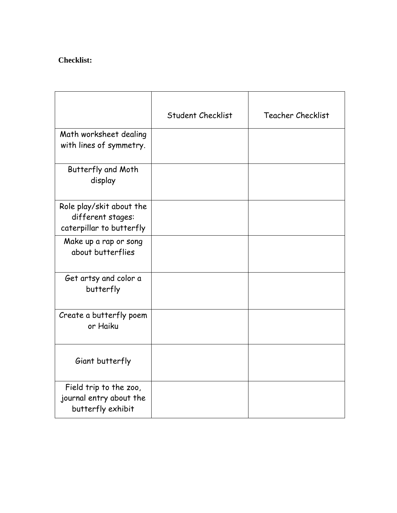# **Checklist:**

|                                                                           | <b>Student Checklist</b> | <b>Teacher Checklist</b> |
|---------------------------------------------------------------------------|--------------------------|--------------------------|
| Math worksheet dealing<br>with lines of symmetry.                         |                          |                          |
| Butterfly and Moth<br>display                                             |                          |                          |
| Role play/skit about the<br>different stages:<br>caterpillar to butterfly |                          |                          |
| Make up a rap or song<br>about butterflies                                |                          |                          |
| Get artsy and color a<br>butterfly                                        |                          |                          |
| Create a butterfly poem<br>or Haiku                                       |                          |                          |
| Giant butterfly                                                           |                          |                          |
| Field trip to the zoo,<br>journal entry about the<br>butterfly exhibit    |                          |                          |